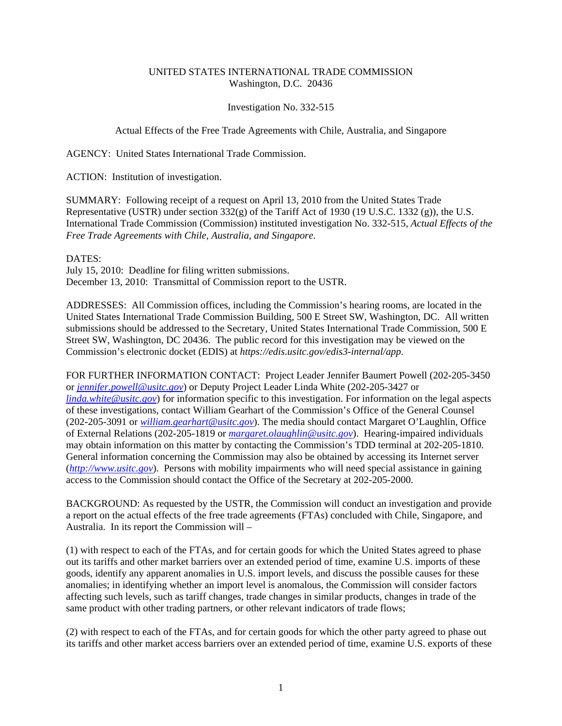## UNITED STATES INTERNATIONAL TRADE COMMISSION Washington, D.C. 20436

## Investigation No. 332-515

## Actual Effects of the Free Trade Agreements with Chile, Australia, and Singapore

AGENCY: United States International Trade Commission.

ACTION: Institution of investigation.

SUMMARY: Following receipt of a request on April 13, 2010 from the United States Trade Representative (USTR) under section 332(g) of the Tariff Act of 1930 (19 U.S.C. 1332 (g)), the U.S. International Trade Commission (Commission) instituted investigation No. 332-515, *Actual Effects of the Free Trade Agreements with Chile, Australia, and Singapore*.

## DATES:

July 15, 2010: Deadline for filing written submissions. December 13, 2010: Transmittal of Commission report to the USTR.

ADDRESSES: All Commission offices, including the Commission's hearing rooms, are located in the United States International Trade Commission Building, 500 E Street SW, Washington, DC. All written submissions should be addressed to the Secretary, United States International Trade Commission, 500 E Street SW, Washington, DC 20436. The public record for this investigation may be viewed on the Commission's electronic docket (EDIS) at *https://edis.usitc.gov/edis3-internal/app*.

FOR FURTHER INFORMATION CONTACT: Project Leader Jennifer Baumert Powell (202-205-3450 or *jennifer.powell@usitc.gov*) or Deputy Project Leader Linda White (202-205-3427 or *linda.white@usitc.gov*) for information specific to this investigation. For information on the legal aspects of these investigations, contact William Gearhart of the Commission's Office of the General Counsel (202-205-3091 or *william.gearhart@usitc.gov*). The media should contact Margaret O'Laughlin, Office of External Relations (202-205-1819 or *margaret.olaughlin@usitc.gov*). Hearing-impaired individuals may obtain information on this matter by contacting the Commission's TDD terminal at 202-205-1810. General information concerning the Commission may also be obtained by accessing its Internet server (*http://www.usitc.gov*). Persons with mobility impairments who will need special assistance in gaining access to the Commission should contact the Office of the Secretary at 202-205-2000.

BACKGROUND: As requested by the USTR, the Commission will conduct an investigation and provide a report on the actual effects of the free trade agreements (FTAs) concluded with Chile, Singapore, and Australia. In its report the Commission will –

(1) with respect to each of the FTAs, and for certain goods for which the United States agreed to phase out its tariffs and other market barriers over an extended period of time, examine U.S. imports of these goods, identify any apparent anomalies in U.S. import levels, and discuss the possible causes for these anomalies; in identifying whether an import level is anomalous, the Commission will consider factors affecting such levels, such as tariff changes, trade changes in similar products, changes in trade of the same product with other trading partners, or other relevant indicators of trade flows;

(2) with respect to each of the FTAs, and for certain goods for which the other party agreed to phase out its tariffs and other market access barriers over an extended period of time, examine U.S. exports of these